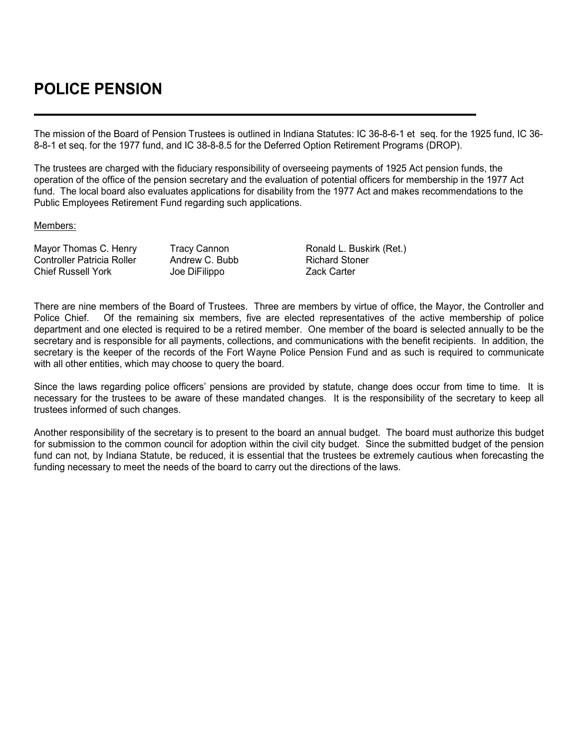## **POLICE PENSION**

The mission of the Board of Pension Trustees is outlined in Indiana Statutes: IC 36-8-6-1 et seq. for the 1925 fund, IC 36- 8-8-1 et seq. for the 1977 fund, and IC 38-8-8.5 for the Deferred Option Retirement Programs (DROP).

The trustees are charged with the fiduciary responsibility of overseeing payments of 1925 Act pension funds, the operation of the office of the pension secretary and the evaluation of potential officers for membership in the 1977 Act fund. The local board also evaluates applications for disability from the 1977 Act and makes recommendations to the Public Employees Retirement Fund regarding such applications.

## Members:

Controller Patricia Roller Andrew C. Bubb Richard Stoner<br>Chief Russell York Joe DiFilippo Chief Russell York Chief Russell York Joe DiFilippo

Mayor Thomas C. Henry Tracy Cannon Fractic Ronald L. Buskirk (Ret.)<br>Controller Patricia Roller Franchew C. Bubb Richard Stoner

There are nine members of the Board of Trustees. Three are members by virtue of office, the Mayor, the Controller and Police Chief. Of the remaining six members, five are elected representatives of the active membership of police department and one elected is required to be a retired member. One member of the board is selected annually to be the secretary and is responsible for all payments, collections, and communications with the benefit recipients. In addition, the secretary is the keeper of the records of the Fort Wayne Police Pension Fund and as such is required to communicate with all other entities, which may choose to query the board.

Since the laws regarding police officers' pensions are provided by statute, change does occur from time to time. It is necessary for the trustees to be aware of these mandated changes. It is the responsibility of the secretary to keep all trustees informed of such changes.

Another responsibility of the secretary is to present to the board an annual budget. The board must authorize this budget for submission to the common council for adoption within the civil city budget. Since the submitted budget of the pension fund can not, by Indiana Statute, be reduced, it is essential that the trustees be extremely cautious when forecasting the funding necessary to meet the needs of the board to carry out the directions of the laws.